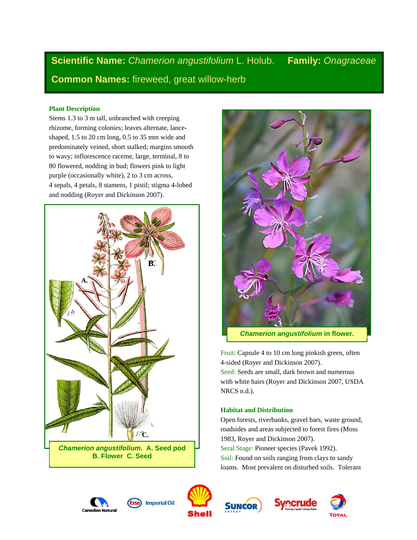**Scientific Name:** *Chamerion angustifolium* L. Holub. **Family:** *Onagraceae* **Common Names:** fireweed, great willow-herb

# **Plant Description**

Stems 1.3 to 3 m tall, unbranched with creeping rhizome, forming colonies; leaves alternate, lanceshaped, 1.5 to 20 cm long, 0.5 to 35 mm wide and predominately veined, short stalked; margins smooth to wavy; inflorescence raceme, large, terminal, 8 to 80 flowered, nodding in bud; flowers pink to light purple (occasionally white), 2 to 3 cm across, 4 sepals, 4 petals, 8 stamens, 1 pistil; stigma 4-lobed and nodding (Royer and Dickinson 2007).





Fruit: Capsule 4 to 10 cm long pinkish green, often 4-sided (Royer and Dickinson 2007). Seed: Seeds are small, dark brown and numerous with white hairs (Royer and Dickinson 2007, USDA NRCS n.d.).

## **Habitat and Distribution**

Open forests, riverbanks, gravel bars, waste ground, roadsides and areas subjected to forest fires (Moss 1983, Royer and Dickinson 2007). Seral Stage: Pioneer species (Pavek 1992). Soil: Found on soils ranging from clays to sandy loams. Most prevalent on disturbed soils. Tolerant











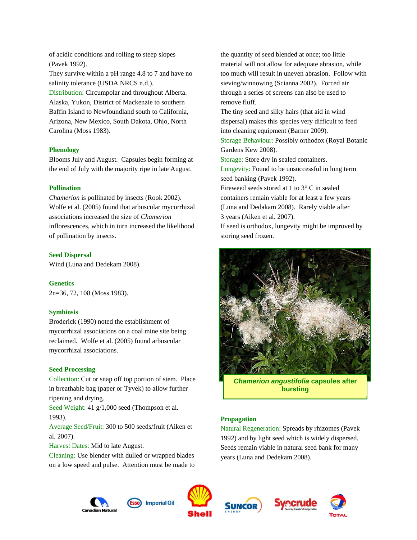of acidic conditions and rolling to steep slopes (Pavek 1992).

They survive within a pH range 4.8 to 7 and have no salinity tolerance (USDA NRCS n.d.).

Distribution: Circumpolar and throughout Alberta. Alaska, Yukon, District of Mackenzie to southern Baffin Island to Newfoundland south to California, Arizona, New Mexico, South Dakota, Ohio, North Carolina (Moss 1983).

## **Phenology**

Blooms July and August. Capsules begin forming at the end of July with the majority ripe in late August.

## **Pollination**

*Chamerion* is pollinated by insects (Rook 2002). Wolfe et al. (2005) found that arbuscular mycorrhizal associations increased the size of *Chamerion* inflorescences, which in turn increased the likelihood of pollination by insects.

#### **Seed Dispersal**

Wind (Luna and Dedekam 2008).

#### **Genetics**

2n=36, 72, 108 (Moss 1983).

#### **Symbiosis**

Broderick (1990) noted the establishment of mycorrhizal associations on a coal mine site being reclaimed. Wolfe et al. (2005) found arbuscular mycorrhizal associations.

### **Seed Processing**

Collection: Cut or snap off top portion of stem. Place in breathable bag (paper or Tyvek) to allow further ripening and drying.

Seed Weight: 41 g/1,000 seed (Thompson et al. 1993).

Average Seed/Fruit: 300 to 500 seeds/fruit (Aiken et al*.* 2007).

Harvest Dates: Mid to late August.

Cleaning: Use blender with dulled or wrapped blades on a low speed and pulse. Attention must be made to

the quantity of seed blended at once; too little material will not allow for adequate abrasion, while too much will result in uneven abrasion. Follow with sieving/winnowing (Scianna 2002). Forced air through a series of screens can also be used to remove fluff.

The tiny seed and silky hairs (that aid in wind dispersal) makes this species very difficult to feed into cleaning equipment (Barner 2009).

Storage Behaviour: Possibly orthodox (Royal Botanic Gardens Kew 2008).

Storage: Store dry in sealed containers.

Longevity: Found to be unsuccessful in long term seed banking (Pavek 1992).

Fireweed seeds stored at 1 to 3° C in sealed containers remain viable for at least a few years (Luna and Dedakam 2008). Rarely viable after 3 years (Aiken et al. 2007).

If seed is orthodox, longevity might be improved by storing seed frozen.



*Chamerion angustifolia* **capsules after bursting** 

### **Propagation**

Natural Regeneration: Spreads by rhizomes (Pavek 1992) and by light seed which is widely dispersed. Seeds remain viable in natural seed bank for many years (Luna and Dedekam 2008).









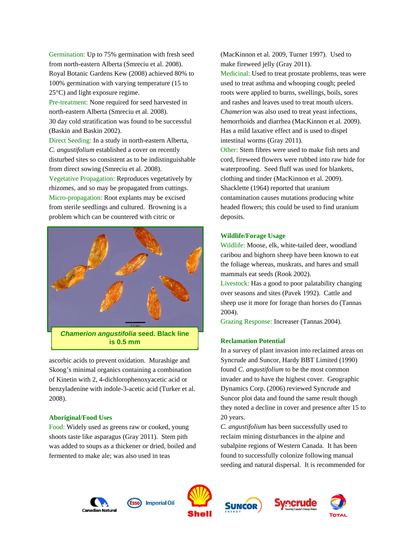Germination: Up to 75% germination with fresh seed from north-eastern Alberta (Smreciu et al. 2008). Royal Botanic Gardens Kew (2008) achieved 80% to 100% germination with varying temperature (15 to 25°C) and light exposure regime.

Pre-treatment: None required for seed harvested in north-eastern Alberta (Smreciu et al. 2008). 30 day cold stratification was found to be successful (Baskin and Baskin 2002).

Direct Seeding: In a study in north-eastern Alberta, *C. angustifolium* established a cover on recently disturbed sites so consistent as to be indistinguishable from direct sowing (Smreciu et al. 2008).

Vegetative Propagation: Reproduces vegetatively by rhizomes, and so may be propagated from cuttings. Micro-propagation: Root explants may be excised from sterile seedlings and cultured. Browning is a problem which can be countered with citric or



*Chamerion angustifolia* **seed. Black line is 0.5 mm** 

ascorbic acids to prevent oxidation. Murashige and Skoog's minimal organics containing a combination of Kinetin with 2, 4-dichlorophenoxyacetic acid or benzyladenine with indole-3-acetic acid (Turker et al. 2008).

#### **Aboriginal/Food Uses**

Food: Widely used as greens raw or cooked, young shoots taste like asparagus (Gray 2011). Stem pith was added to soups as a thickener or dried, boiled and fermented to make ale; was also used in teas

(MacKinnon et al*.* 2009, Turner 1997). Used to make fireweed jelly (Gray 2011). Medicinal: Used to treat prostate problems, teas were used to treat asthma and whooping cough; peeled roots were applied to burns, swellings, boils, sores and rashes and leaves used to treat mouth ulcers. *Chamerion* was also used to treat yeast infections, hemorrhoids and diarrhea (MacKinnon et al. 2009). Has a mild laxative effect and is used to dispel intestinal worms (Gray 2011).

Other: Stem fibres were used to make fish nets and cord, fireweed flowers were rubbed into raw hide for waterproofing. Seed fluff was used for blankets, clothing and tinder (MacKinnon et al. 2009). Shacklette (1964) reported that uranium contamination causes mutations producing white headed flowers; this could be used to find uranium deposits.

## **Wildlife/Forage Usage**

Wildlife: Moose, elk, white-tailed deer, woodland caribou and bighorn sheep have been known to eat the foliage whereas, muskrats, and hares and small mammals eat seeds (Rook 2002).

Livestock: Has a good to poor palatability changing over seasons and sites (Pavek 1992). Cattle and sheep use it more for forage than horses do (Tannas 2004).

Grazing Response: Increaser (Tannas 2004).

## **Reclamation Potential**

In a survey of plant invasion into reclaimed areas on Syncrude and Suncor, Hardy BBT Limited (1990) found *C. angustifolium* to be the most common invader and to have the highest cover. Geographic Dynamics Corp. (2006) reviewed Syncrude and Suncor plot data and found the same result though they noted a decline in cover and presence after 15 to 20 years.

*C. angustifolium* has been successfully used to reclaim mining disturbances in the alpine and subalpine regions of Western Canada. It has been found to successfully colonize following manual seeding and natural dispersal. It is recommended for











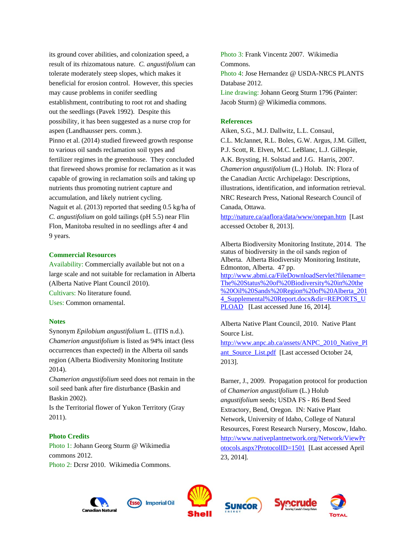its ground cover abilities, and colonization speed, a result of its rhizomatous nature. *C. angustifolium* can tolerate moderately steep slopes, which makes it beneficial for erosion control. However, this species may cause problems in conifer seedling establishment, contributing to root rot and shading out the seedlings (Pavek 1992). Despite this possibility, it has been suggested as a nurse crop for aspen (Landhausser pers. comm.). Pinno et al. (2014) studied fireweed growth response to various oil sands reclamation soil types and fertilizer regimes in the greenhouse. They concluded that fireweed shows promise for reclamation as it was capable of growing in reclamation soils and taking up nutrients thus promoting nutrient capture and accumulation, and likely nutrient cycling. Naguit et al. (2013) reported that seeding 0.5 kg/ha of *C. angustifolium* on gold tailings (pH 5.5) near Flin Flon, Manitoba resulted in no seedlings after 4 and 9 years.

## **Commercial Resources**

Availability: Commercially available but not on a large scale and not suitable for reclamation in Alberta (Alberta Native Plant Council 2010). Cultivars: No literature found. Uses: Common ornamental.

#### **Notes**

Synonym *Epilobium angustifolium* L. (ITIS n.d.). *Chamerion angustifolium* is listed as 94% intact (less occurrences than expected) in the Alberta oil sands region (Alberta Biodiversity Monitoring Institute 2014).

*Chamerion angustifolium* seed does not remain in the soil seed bank after fire disturbance (Baskin and Baskin 2002).

Is the Territorial flower of Yukon Territory (Gray 2011).

## **Photo Credits**

Photo 1: Johann Georg Sturm @ Wikimedia commons 2012. Photo 2: Dcrsr 2010. Wikimedia Commons.

Photo 3: Frank Vincentz 2007. Wikimedia Commons. Photo 4: Jose Hernandez @ USDA-NRCS PLANTS Database 2012. Line drawing: Johann Georg Sturm 1796 (Painter: Jacob Sturm) @ Wikimedia commons.

#### **References**

Aiken, S.G., M.J. Dallwitz, L.L. Consaul, C.L. McJannet, R.L. Boles, G.W. Argus, J.M. Gillett, P.J. Scott, R. Elven, M.C. LeBlanc, L.J. Gillespie, A.K. Brysting, H. Solstad and J.G. Harris, 2007. *Chamerion angustifolium* (L.) Holub. IN: Flora of the Canadian Arctic Archipelago: Descriptions, illustrations, identification, and information retrieval. NRC Research Press, National Research Council of Canada, Ottawa.

http://nature.ca/aaflora/data/www/onepan.htm [Last accessed October 8, 2013].

Alberta Biodiversity Monitoring Institute, 2014. The status of biodiversity in the oil sands region of Alberta. Alberta Biodiversity Monitoring Institute, Edmonton, Alberta. 47 pp. http://www.abmi.ca/FileDownloadServlet?filename= The%20Status%20of%20Biodiversity%20in%20the %20Oil%20Sands%20Region%20of%20Alberta\_201 4 Supplemental%20Report.docx&dir=REPORTS\_U PLOAD [Last accessed June 16, 2014].

Alberta Native Plant Council, 2010. Native Plant Source List.

http://www.anpc.ab.ca/assets/ANPC\_2010\_Native\_Pl ant\_Source\_List.pdf [Last accessed October 24, 2013].

Barner, J., 2009. Propagation protocol for production of *Chamerion angustifolium* (L.) Holub *angustifolium* seeds; USDA FS - R6 Bend Seed Extractory, Bend, Oregon. IN: Native Plant Network, University of Idaho, College of Natural Resources, Forest Research Nursery, Moscow, Idaho. http://www.nativeplantnetwork.org/Network/ViewPr otocols.aspx?ProtocolID=1501 [Last accessed April 23, 2014].









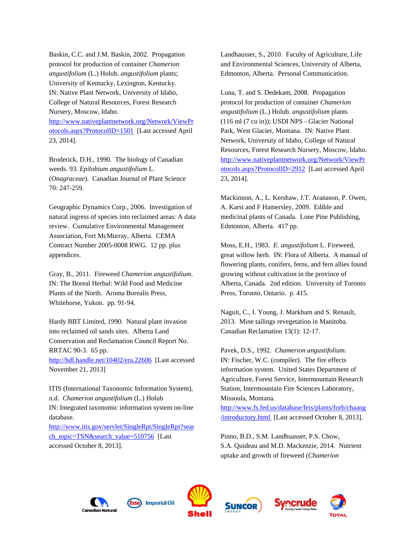Baskin, C.C. and J.M. Baskin, 2002. Propagation protocol for production of container *Chamerion angustifolium* (L.) Holub. *angustifolium* plants; University of Kentucky, Lexington, Kentucky. IN: Native Plant Network, University of Idaho, College of Natural Resources, Forest Research Nursery, Moscow, Idaho.

http://www.nativeplantnetwork.org/Network/ViewPr otocols.aspx?ProtocolID=1501 [Last accessed April 23, 2014].

Broderick, D.H., 1990. The biology of Canadian weeds. 93. *Epilobium angustifolium* L. (*Onagraceae*). Canadian Journal of Plant Science 70: 247-259.

Geographic Dynamics Corp., 2006. Investigation of natural ingress of species into reclaimed areas: A data review. Cumulative Environmental Management Association, Fort McMurray, Alberta. CEMA Contract Number 2005-0008 RWG. 12 pp. plus appendices.

Gray, B., 2011. Fireweed *Chamerion angustifolium*. IN: The Boreal Herbal: Wild Food and Medicine Plants of the North. Aroma Borealis Press, Whitehorse, Yukon. pp. 91-94.

Hardy BBT Limited, 1990. Natural plant invasion into reclaimed oil sands sites. Alberta Land Conservation and Reclamation Council Report No. RRTAC 90-3. 65 pp. http://hdl.handle.net/10402/era.22606 [Last accessed November 21, 2013]

ITIS (International Taxonomic Information System), n.d. *Chamerion angustifolium* (L.) Holub IN: Integrated taxonomic information system on-line database.

http://www.itis.gov/servlet/SingleRpt/SingleRpt?sear ch\_topic=TSN&search\_value=510756 [Last accessed October 8, 2013].

Landhausser, S., 2010. Faculty of Agriculture, Life and Environmental Sciences, University of Alberta, Edmonton, Alberta. Personal Communication.

Luna, T. and S. Dedekam, 2008. Propagation protocol for production of container *Chamerion angustifolium* (L.) Holub. *angustifolium* plants (116 ml (7 cu in)); USDI NPS - Glacier National Park, West Glacier, Montana. IN: Native Plant Network, University of Idaho, College of Natural Resources, Forest Research Nursery, Moscow, Idaho. http://www.nativeplantnetwork.org/Network/ViewPr otocols.aspx?ProtocolID=2912 [Last accessed April 23, 2014].

Mackinnon, A., L. Kershaw, J.T. Aranason, P. Owen, A. Karst and F Hamersley, 2009. Edible and medicinal plants of Canada. Lone Pine Publishing, Edmonton, Alberta. 417 pp.

Moss, E.H., 1983. *E. angustifolium* L. Fireweed, great willow herb. IN: Flora of Alberta. A manual of flowering plants, conifers, ferns, and fern allies found growing without cultivation in the province of Alberta, Canada. 2nd edition. University of Toronto Press, Toronto, Ontario. p. 415.

Naguit, C., I. Young, J. Markham and S. Renault, 2013. Mine tailings revegetation in Manitoba. Canadian Reclamation 13(1): 12-17.

Pavek, D.S., 1992. *Chamerion angustifolium*. IN: Fischer, W.C. (compiler). The fire effects information system. United States Department of Agriculture, Forest Service, Intermountain Research Station, Intermountain Fire Sciences Laboratory, Missoula, Montana.

http://www.fs.fed.us/database/feis/plants/forb/chaang /introductory.html [Last accessed October 8, 2013].

Pinno, B.D., S.M. Landhuasser, P.S. Chow, S.A. Quideau and M.D. Mackenzie, 2014. Nutrient uptake and growth of fireweed (*Chamerion*